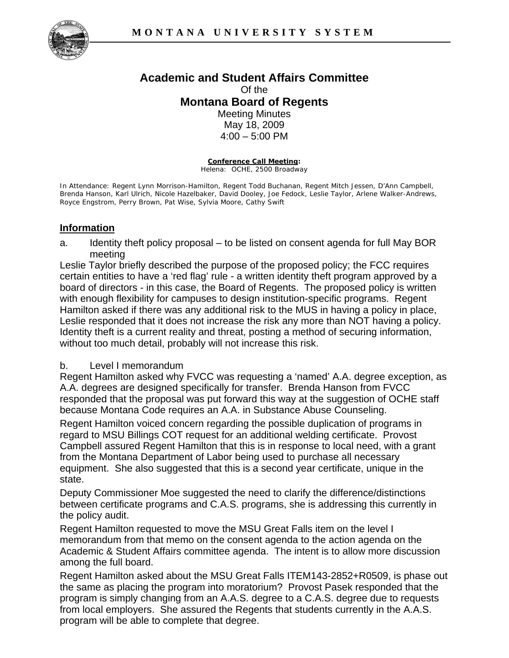

## **Academic and Student Affairs Committee**  Of the **Montana Board of Regents**  Meeting Minutes May 18, 2009 4:00 – 5:00 PM

**Conference Call Meeting:** Helena: OCHE, 2500 Broadway

In Attendance: Regent Lynn Morrison-Hamilton, Regent Todd Buchanan, Regent Mitch Jessen, D'Ann Campbell, Brenda Hanson, Karl Ulrich, Nicole Hazelbaker, David Dooley, Joe Fedock, Leslie Taylor, Arlene Walker-Andrews, Royce Engstrom, Perry Brown, Pat Wise, Sylvia Moore, Cathy Swift

## **Information**

a. Identity theft policy proposal – to be listed on consent agenda for full May BOR meeting

Leslie Taylor briefly described the purpose of the proposed policy; the FCC requires certain entities to have a 'red flag' rule - a written identity theft program approved by a board of directors - in this case, the Board of Regents. The proposed policy is written with enough flexibility for campuses to design institution-specific programs. Regent Hamilton asked if there was any additional risk to the MUS in having a policy in place, Leslie responded that it does not increase the risk any more than NOT having a policy. Identity theft is a current reality and threat, posting a method of securing information, without too much detail, probably will not increase this risk.

## b. Level I memorandum

Regent Hamilton asked why FVCC was requesting a 'named' A.A. degree exception, as A.A. degrees are designed specifically for transfer. Brenda Hanson from FVCC responded that the proposal was put forward this way at the suggestion of OCHE staff because Montana Code requires an A.A. in Substance Abuse Counseling.

Regent Hamilton voiced concern regarding the possible duplication of programs in regard to MSU Billings COT request for an additional welding certificate. Provost Campbell assured Regent Hamilton that this is in response to local need, with a grant from the Montana Department of Labor being used to purchase all necessary equipment. She also suggested that this is a second year certificate, unique in the state.

Deputy Commissioner Moe suggested the need to clarify the difference/distinctions between certificate programs and C.A.S. programs, she is addressing this currently in the policy audit.

Regent Hamilton requested to move the MSU Great Falls item on the level I memorandum from that memo on the consent agenda to the action agenda on the Academic & Student Affairs committee agenda. The intent is to allow more discussion among the full board.

Regent Hamilton asked about the MSU Great Falls ITEM143-2852+R0509, is phase out the same as placing the program into moratorium? Provost Pasek responded that the program is simply changing from an A.A.S. degree to a C.A.S. degree due to requests from local employers. She assured the Regents that students currently in the A.A.S. program will be able to complete that degree.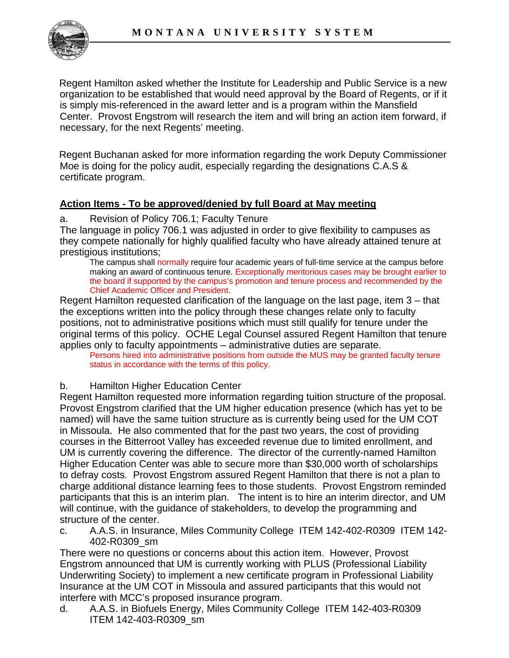

Regent Hamilton asked whether the Institute for Leadership and Public Service is a new organization to be established that would need approval by the Board of Regents, or if it is simply mis-referenced in the award letter and is a program within the Mansfield Center. Provost Engstrom will research the item and will bring an action item forward, if necessary, for the next Regents' meeting.

Regent Buchanan asked for more information regarding the work Deputy Commissioner Moe is doing for the policy audit, especially regarding the designations C.A.S & certificate program.

## **Action Items - To be approved/denied by full Board at May meeting**

a. Revision of Policy 706.1; Faculty Tenure

The language in policy 706.1 was adjusted in order to give flexibility to campuses as they compete nationally for highly qualified faculty who have already attained tenure at prestigious institutions;

The campus shall normally require four academic years of full-time service at the campus before making an award of continuous tenure. Exceptionally meritorious cases may be brought earlier to the board if supported by the campus's promotion and tenure process and recommended by the Chief Academic Officer and President.

Regent Hamilton requested clarification of the language on the last page, item 3 – that the exceptions written into the policy through these changes relate only to faculty positions, not to administrative positions which must still qualify for tenure under the original terms of this policy. OCHE Legal Counsel assured Regent Hamilton that tenure applies only to faculty appointments – administrative duties are separate.

Persons hired into administrative positions from outside the MUS may be granted faculty tenure status in accordance with the terms of this policy.

b. Hamilton Higher Education Center

Regent Hamilton requested more information regarding tuition structure of the proposal. Provost Engstrom clarified that the UM higher education presence (which has yet to be named) will have the same tuition structure as is currently being used for the UM COT in Missoula. He also commented that for the past two years, the cost of providing courses in the Bitterroot Valley has exceeded revenue due to limited enrollment, and UM is currently covering the difference. The director of the currently-named Hamilton Higher Education Center was able to secure more than \$30,000 worth of scholarships to defray costs. Provost Engstrom assured Regent Hamilton that there is not a plan to charge additional distance learning fees to those students. Provost Engstrom reminded participants that this is an interim plan. The intent is to hire an interim director, and UM will continue, with the guidance of stakeholders, to develop the programming and structure of the center.

c. A.A.S. in Insurance, Miles Community College ITEM 142-402-R0309 ITEM 142- 402-R0309\_sm

There were no questions or concerns about this action item. However, Provost Engstrom announced that UM is currently working with PLUS (Professional Liability Underwriting Society) to implement a new certificate program in Professional Liability Insurance at the UM COT in Missoula and assured participants that this would not interfere with MCC's proposed insurance program.

d. A.A.S. in Biofuels Energy, Miles Community College ITEM 142-403-R0309 ITEM 142-403-R0309\_sm